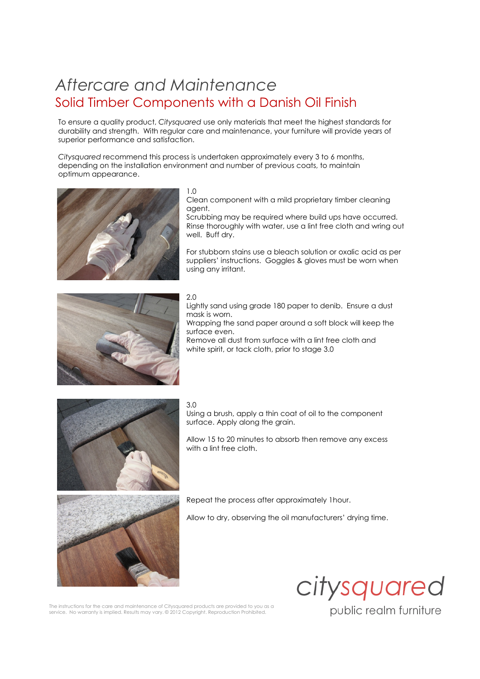# Aftercare and Maintenance Solid Timber Components with a Danish Oil Finish

To ensure a quality product, Citysquared use only materials that meet the highest standards for durability and strength. With regular care and maintenance, your furniture will provide years of superior performance and satisfaction.

Citysquared recommend this process is undertaken approximately every 3 to 6 months, depending on the installation environment and number of previous coats, to maintain optimum appearance.



#### 1.0

Clean component with a mild proprietary timber cleaning agent.

Scrubbing may be required where build ups have occurred. Rinse thoroughly with water, use a lint free cloth and wring out well. Buff dry.

For stubborn stains use a bleach solution or oxalic acid as per suppliers' instructions. Goggles & gloves must be worn when using any irritant.



## 2.0

Lightly sand using grade 180 paper to denib. Ensure a dust mask is worn.

Wrapping the sand paper around a soft block will keep the surface even.

Remove all dust from surface with a lint free cloth and white spirit, or tack cloth, prior to stage 3.0



### 3.0

Using a brush, apply a thin coat of oil to the component surface. Apply along the grain.

Allow 15 to 20 minutes to absorb then remove any excess with a lint free cloth.



Repeat the process after approximately 1hour.

Allow to dry, observing the oil manufacturers' drying time.



public realm furniture

The instructions for the care and maintenance of Citysquared products are provided to you as a service. No warranty is implied. Results may vary. @ 2012 Copyright. Reproduction Prohibited.